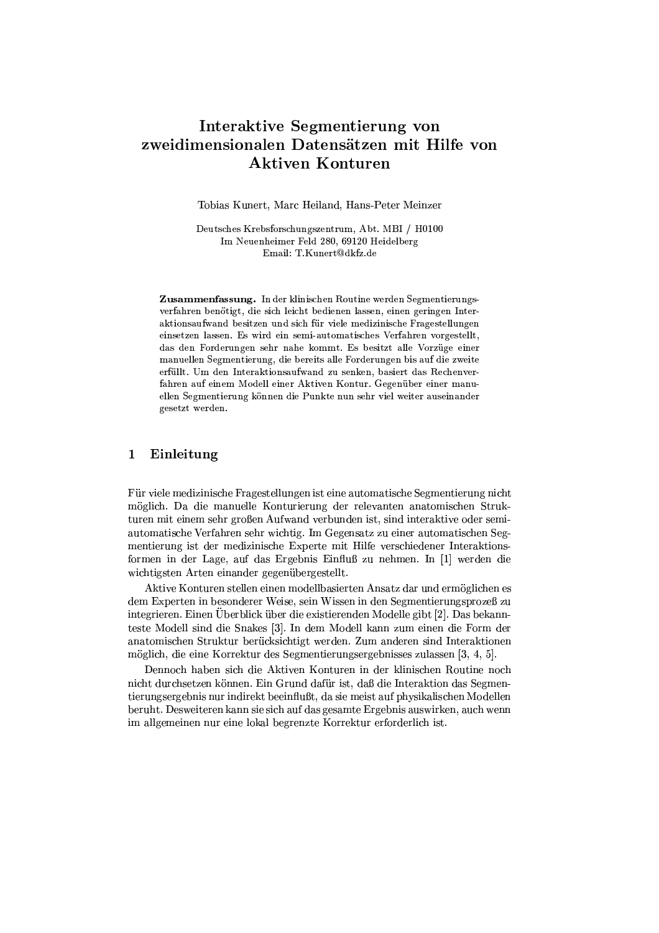# Interaktive Segmentierung von zweidimensionalen Datensätzen mit Hilfe von **Aktiven Konturen**

Tobias Kunert, Marc Heiland, Hans-Peter Meinzer

Deutsches Krebsforschungszentrum, Abt. MBI / H0100 Im Neuenheimer Feld 280, 69120 Heidelberg Email: T.Kunert@dkfz.de

Zusammenfassung. In der klinischen Routine werden Segmentierungsverfahren benötigt, die sich leicht bedienen lassen, einen geringen Interaktionsaufwand besitzen und sich für viele medizinische Fragestellungen einsetzen lassen. Es wird ein semi-automatisches Verfahren vorgestellt, das den Forderungen sehr nahe kommt. Es besitzt alle Vorzüge einer manuellen Segmentierung, die bereits alle Forderungen bis auf die zweite erfüllt. Um den Interaktionsaufwand zu senken, basiert das Rechenverfahren auf einem Modell einer Aktiven Kontur. Gegenüber einer manuellen Segmentierung können die Punkte nun sehr viel weiter auseinander gesetzt werden.

# Einleitung  $\mathbf{1}$

Für viele medizinische Fragestellungen ist eine automatische Segmentierung nicht möglich. Da die manuelle Konturierung der relevanten anatomischen Strukturen mit einem sehr großen Aufwand verbunden ist, sind interaktive oder semiautomatische Verfahren sehr wichtig. Im Gegensatz zu einer automatischen Segmentierung ist der medizinische Experte mit Hilfe verschiedener Interaktionsformen in der Lage, auf das Ergebnis Einfluß zu nehmen. In [1] werden die wichtigsten Arten einander gegenübergestellt.

Aktive Konturen stellen einen modellbasierten Ansatz dar und ermöglichen es dem Experten in besonderer Weise, sein Wissen in den Segmentierungsprozeß zu integrieren. Einen Überblick über die existierenden Modelle gibt [2]. Das bekannteste Modell sind die Snakes [3]. In dem Modell kann zum einen die Form der anatomischen Struktur berücksichtigt werden. Zum anderen sind Interaktionen möglich, die eine Korrektur des Segmentierungsergebnisses zulassen [3, 4, 5].

Dennoch haben sich die Aktiven Konturen in der klinischen Routine noch nicht durchsetzen können. Ein Grund dafür ist, daß die Interaktion das Segmentierungsergebnis nur indirekt beeinflußt, da sie meist auf physikalischen Modellen beruht. Desweiteren kann sie sich auf das gesamte Ergebnis auswirken, auch wenn im allgemeinen nur eine lokal begrenzte Korrektur erforderlich ist.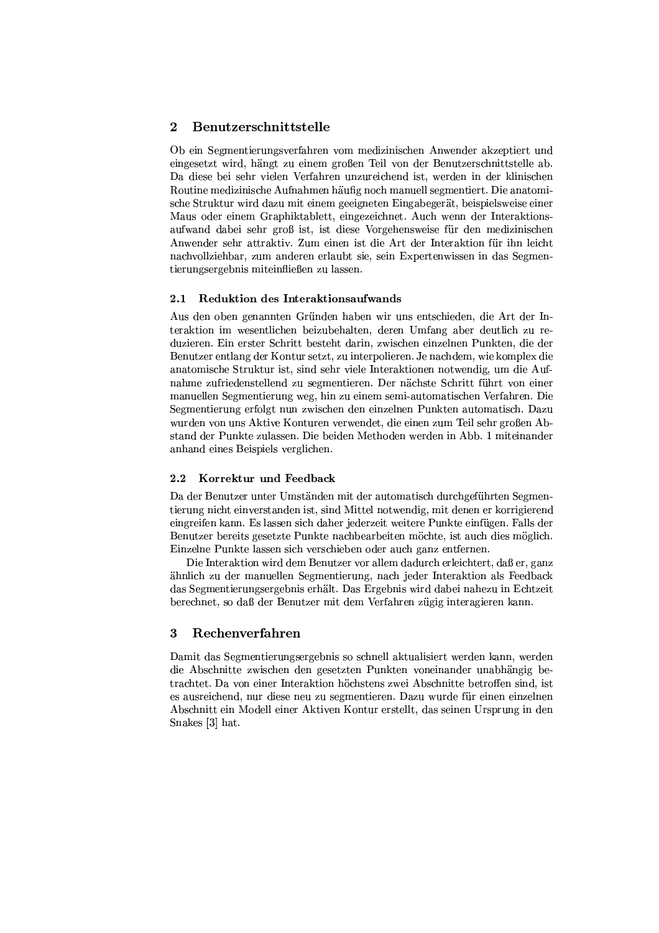# $\overline{2}$ Benutzerschnittstelle

Ob ein Segmentierungsverfahren vom medizinischen Anwender akzeptiert und eingesetzt wird, hängt zu einem großen Teil von der Benutzerschnittstelle ab. Da diese bei sehr vielen Verfahren unzureichend ist, werden in der klinischen Routine medizinische Aufnahmen häufig noch manuell segmentiert. Die anatomische Struktur wird dazu mit einem geeigneten Eingabegerät, beispielsweise einer Maus oder einem Graphiktablett, eingezeichnet. Auch wenn der Interaktionsaufwand dabei sehr groß ist, ist diese Vorgehensweise für den medizinischen Anwender sehr attraktiv. Zum einen ist die Art der Interaktion für ihn leicht nachvollziehbar, zum anderen erlaubt sie, sein Expertenwissen in das Segmentierungsergebnis miteinfließen zu lassen.

### 2.1 Reduktion des Interaktionsaufwands

Aus den oben genannten Gründen haben wir uns entschieden, die Art der Interaktion im wesentlichen beizubehalten, deren Umfang aber deutlich zu reduzieren. Ein erster Schritt besteht darin, zwischen einzelnen Punkten, die der Benutzer entlang der Kontur setzt, zu interpolieren. Je nachdem, wie komplex die anatomische Struktur ist, sind sehr viele Interaktionen notwendig, um die Aufnahme zufriedenstellend zu segmentieren. Der nächste Schritt führt von einer manuellen Segmentierung weg, hin zu einem semi-automatischen Verfahren. Die Segmentierung erfolgt nun zwischen den einzelnen Punkten automatisch. Dazu wurden von uns Aktive Konturen verwendet, die einen zum Teil sehr großen Abstand der Punkte zulassen. Die beiden Methoden werden in Abb. 1 miteinander anhand eines Beispiels verglichen.

# 2.2 Korrektur und Feedback

Da der Benutzer unter Umständen mit der automatisch durchgeführten Segmentierung nicht einverstanden ist, sind Mittel notwendig, mit denen er korrigierend eingreifen kann. Es lassen sich daher jederzeit weitere Punkte einfügen. Falls der Benutzer bereits gesetzte Punkte nachbearbeiten möchte, ist auch dies möglich. Einzelne Punkte lassen sich verschieben oder auch ganz entfernen.

Die Interaktion wird dem Benutzer vor allem dadurch erleichtert, daß er, ganz ähnlich zu der manuellen Segmentierung, nach jeder Interaktion als Feedback das Segmentierungsergebnis erhält. Das Ergebnis wird dabei nahezu in Echtzeit berechnet, so daß der Benutzer mit dem Verfahren zügig interagieren kann.

## 3 Rechenverfahren

Damit das Segmentierungsergebnis so schnell aktualisiert werden kann, werden die Abschnitte zwischen den gesetzten Punkten voneinander unabhängig betrachtet. Da von einer Interaktion höchstens zwei Abschnitte betroffen sind, ist es ausreichend, nur diese neu zu segmentieren. Dazu wurde für einen einzelnen Abschnitt ein Modell einer Aktiven Kontur erstellt, das seinen Ursprung in den Snakes [3] hat.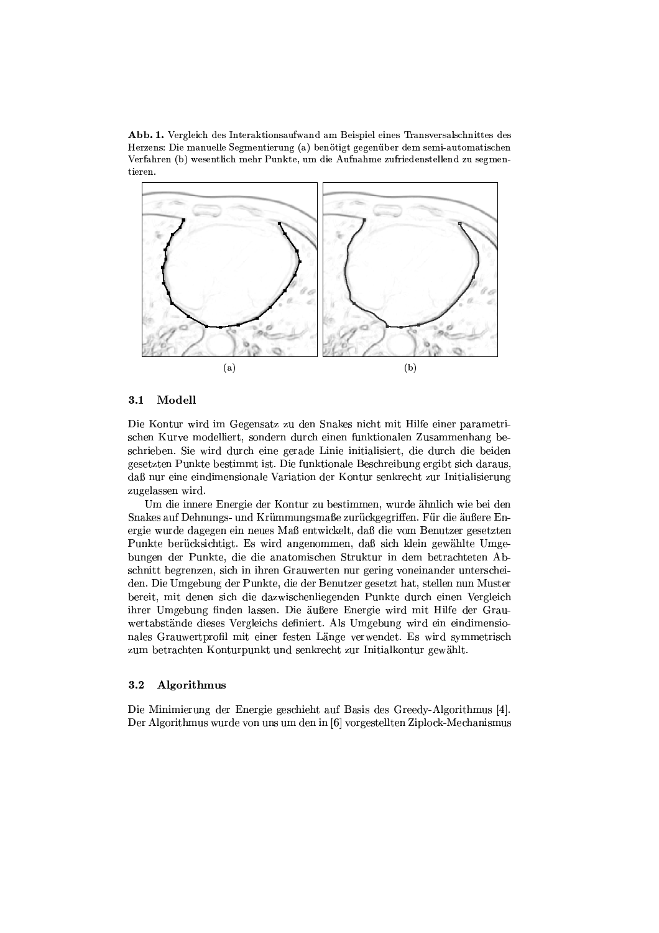Abb. 1. Vergleich des Interaktionsaufwand am Beispiel eines Transversalschnittes des Herzens: Die manuelle Segmentierung (a) benötigt gegenüber dem semi-automatischen Verfahren (b) wesentlich mehr Punkte, um die Aufnahme zufriedenstellend zu segmentieren.



#### $3.1$ Modell

Die Kontur wird im Gegensatz zu den Snakes nicht mit Hilfe einer parametrischen Kurve modelliert, sondern durch einen funktionalen Zusammenhang beschrieben. Sie wird durch eine gerade Linie initialisiert, die durch die beiden gesetzten Punkte bestimmt ist. Die funktionale Beschreibung ergibt sich daraus, daß nur eine eindimensionale Variation der Kontur senkrecht zur Initialisierung zugelassen wird.

Um die innere Energie der Kontur zu bestimmen, wurde ähnlich wie bei den Snakes auf Dehnungs- und Krümmungsmaße zurückgegriffen. Für die äußere Energie wurde dagegen ein neues Maß entwickelt, daß die vom Benutzer gesetzten Punkte berücksichtigt. Es wird angenommen, daß sich klein gewählte Umgebungen der Punkte, die die anatomischen Struktur in dem betrachteten Abschnitt begrenzen, sich in ihren Grauwerten nur gering voneinander unterscheiden. Die Umgebung der Punkte, die der Benutzer gesetzt hat, stellen nun Muster bereit, mit denen sich die dazwischenliegenden Punkte durch einen Vergleich ihrer Umgebung finden lassen. Die äußere Energie wird mit Hilfe der Grauwertabstände dieses Vergleichs definiert. Als Umgebung wird ein eindimensionales Grauwertprofil mit einer festen Länge verwendet. Es wird symmetrisch zum betrachten Konturpunkt und senkrecht zur Initialkontur gewählt.

### $3.2$ Algorithmus

Die Minimierung der Energie geschieht auf Basis des Greedy-Algorithmus [4]. Der Algorithmus wurde von uns um den in [6] vorgestellten Ziplock-Mechanismus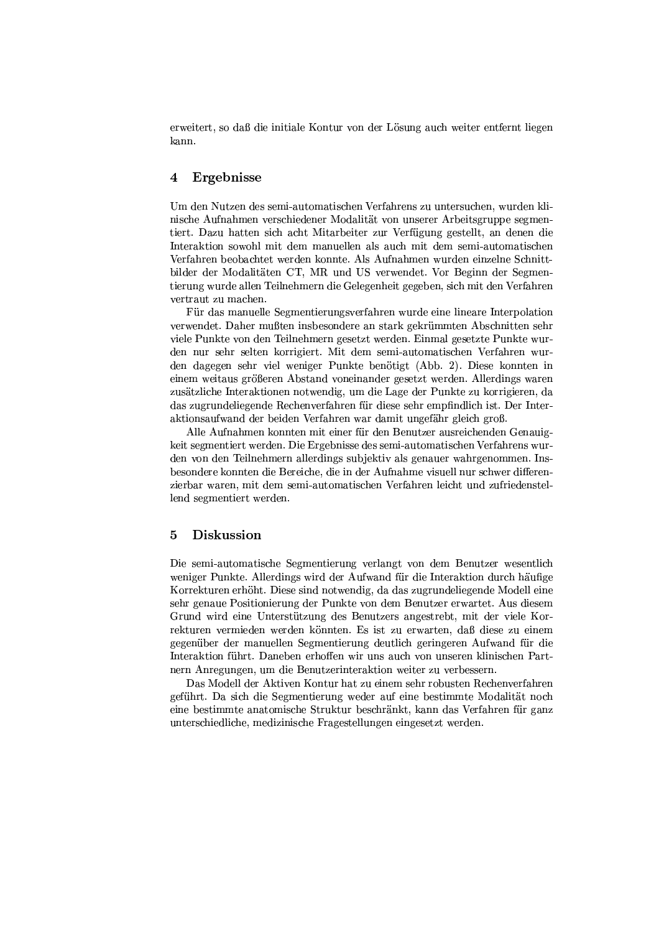erweitert, so daß die initiale Kontur von der Lösung auch weiter entfernt liegen kann.

# $\overline{\mathbf{4}}$ Ergebnisse

Um den Nutzen des semi-automatischen Verfahrens zu untersuchen, wurden klinische Aufnahmen verschiedener Modalität von unserer Arbeitsgruppe segmentiert. Dazu hatten sich acht Mitarbeiter zur Verfügung gestellt, an denen die Interaktion sowohl mit dem manuellen als auch mit dem semi-automatischen Verfahren beobachtet werden konnte. Als Aufnahmen wurden einzelne Schnittbilder der Modalitäten CT, MR und US verwendet. Vor Beginn der Segmentierung wurde allen Teilnehmern die Gelegenheit gegeben, sich mit den Verfahren vertraut zu machen.

Für das manuelle Segmentierungsverfahren wurde eine lineare Interpolation verwendet. Daher mußten insbesondere an stark gekrümmten Abschnitten sehr viele Punkte von den Teilnehmern gesetzt werden. Einmal gesetzte Punkte wurden nur sehr selten korrigiert. Mit dem semi-automatischen Verfahren wurden dagegen sehr viel weniger Punkte benötigt (Abb. 2). Diese konnten in einem weitaus größeren Abstand voneinander gesetzt werden. Allerdings waren zusätzliche Interaktionen notwendig, um die Lage der Punkte zu korrigieren, da das zugrundeliegende Rechenverfahren für diese sehr empfindlich ist. Der Interaktionsaufwand der beiden Verfahren war damit ungefähr gleich groß.

Alle Aufnahmen konnten mit einer für den Benutzer ausreichenden Genauigkeit segmentiert werden. Die Ergebnisse des semi-automatischen Verfahrens wurden von den Teilnehmern allerdings subjektiv als genauer wahrgenommen. Insbesondere konnten die Bereiche, die in der Aufnahme visuell nur schwer differenzierbar waren, mit dem semi-automatischen Verfahren leicht und zufriedenstellend segmentiert werden.

# $\overline{5}$ Diskussion

Die semi-automatische Segmentierung verlangt von dem Benutzer wesentlich weniger Punkte. Allerdings wird der Aufwand für die Interaktion durch häufige Korrekturen erhöht. Diese sind notwendig, da das zugrundeliegende Modell eine sehr genaue Positionierung der Punkte von dem Benutzer erwartet. Aus diesem Grund wird eine Unterstützung des Benutzers angestrebt, mit der viele Korrekturen vermieden werden könnten. Es ist zu erwarten, daß diese zu einem gegenüber der manuellen Segmentierung deutlich geringeren Aufwand für die Interaktion führt. Daneben erhoffen wir uns auch von unseren klinischen Partnern Anregungen, um die Benutzerinteraktion weiter zu verbessern.

Das Modell der Aktiven Kontur hat zu einem sehr robusten Rechenverfahren geführt. Da sich die Segmentierung weder auf eine bestimmte Modalität noch eine bestimmte anatomische Struktur beschränkt, kann das Verfahren für ganz unterschiedliche, medizinische Fragestellungen eingesetzt werden.